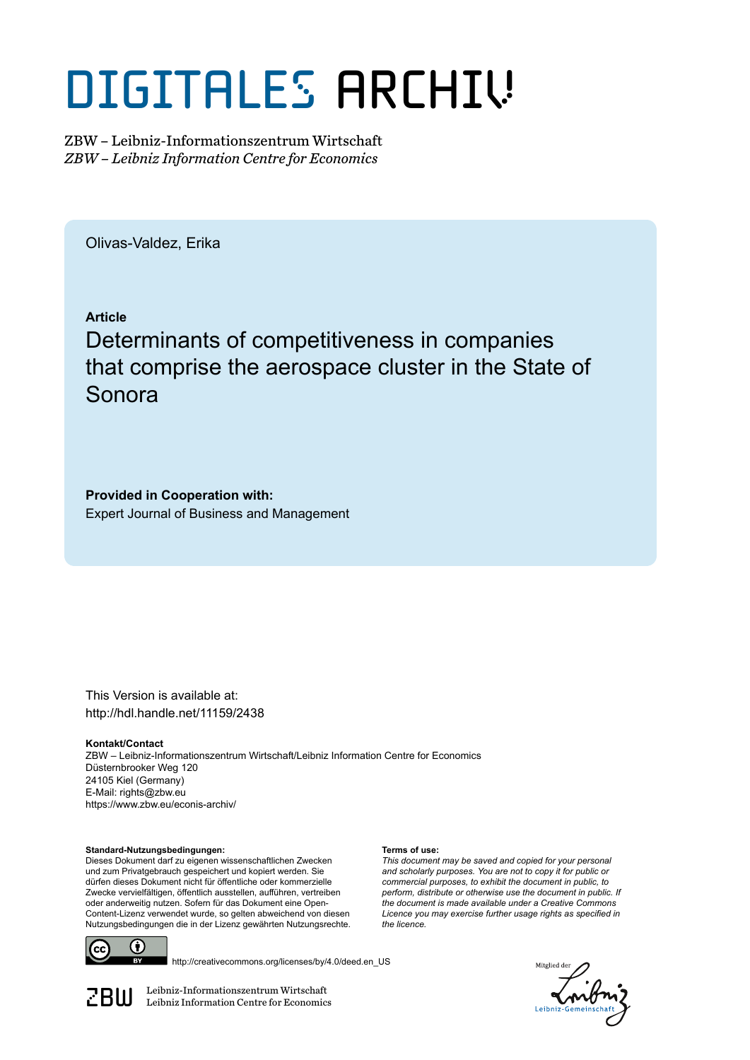# DIGITALES ARCHIV

ZBW – Leibniz-Informationszentrum Wirtschaft *ZBW – Leibniz Information Centre for Economics*

Olivas-Valdez, Erika

**Article**

## Determinants of competitiveness in companies that comprise the aerospace cluster in the State of Sonora

**Provided in Cooperation with:** Expert Journal of Business and Management

This Version is available at: http://hdl.handle.net/11159/2438

**Kontakt/Contact** ZBW – Leibniz-Informationszentrum Wirtschaft/Leibniz Information Centre for Economics Düsternbrooker Weg 120 24105 Kiel (Germany) E-Mail: rights@zbw.eu https://www.zbw.eu/econis-archiv/

**Terms of use:**

*the licence.*

*This document may be saved and copied for your personal and scholarly purposes. You are not to copy it for public or commercial purposes, to exhibit the document in public, to perform, distribute or otherwise use the document in public. If the document is made available under a Creative Commons Licence you may exercise further usage rights as specified in*

**Standard-Nutzungsbedingungen:**

Dieses Dokument darf zu eigenen wissenschaftlichen Zwecken und zum Privatgebrauch gespeichert und kopiert werden. Sie dürfen dieses Dokument nicht für öffentliche oder kommerzielle Zwecke vervielfältigen, öffentlich ausstellen, aufführen, vertreiben oder anderweitig nutzen. Sofern für das Dokument eine Open-Content-Lizenz verwendet wurde, so gelten abweichend von diesen Nutzungsbedingungen die in der Lizenz gewährten Nutzungsrechte.



http://creativecommons.org/licenses/by/4.0/deed.en\_US

*Aitplied* 

 $\mathbb{Z} \text{B} \text{U}$  Leibniz-Informationszentrum Wirtschaft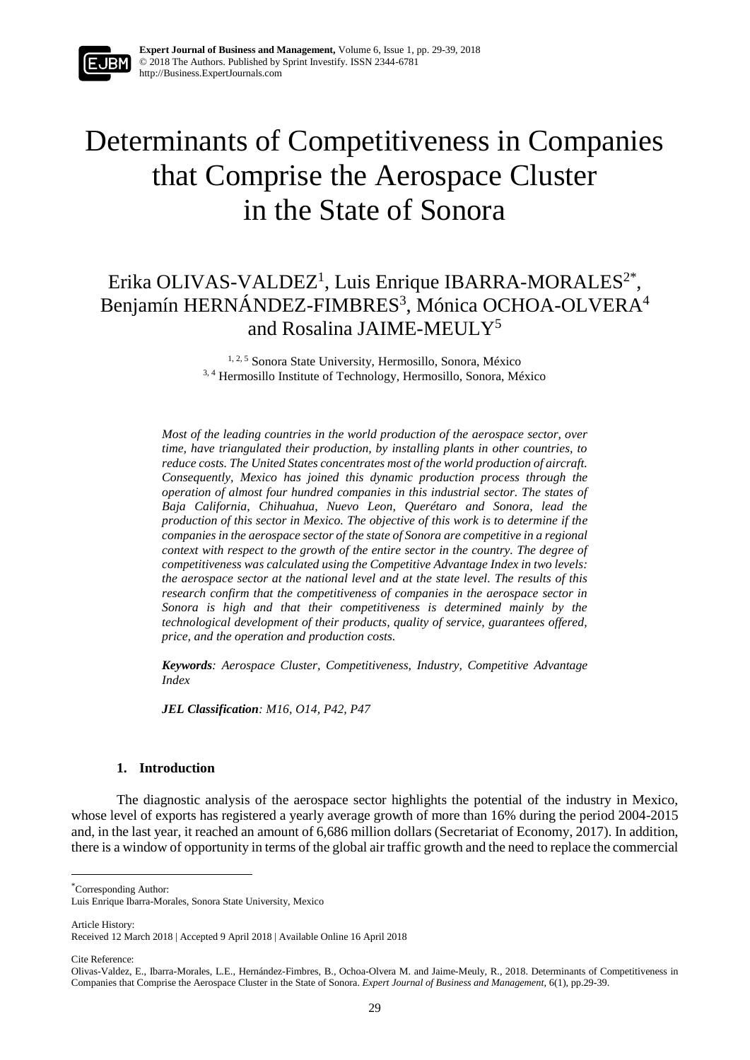

## Determinants of Competitiveness in Companies that Comprise the Aerospace Cluster in the State of Sonora

### Erika OLIVAS-VALDEZ<sup>1</sup>, Luis Enrique IBARRA-MORALES<sup>2\*</sup>, Benjamín HERNÁNDEZ-FIMBRES<sup>3</sup>, Mónica OCHOA-OLVERA<sup>4</sup> and Rosalina JAIME-MEULY<sup>5</sup>

1, 2, 5 Sonora State University, Hermosillo, Sonora, México <sup>3, 4</sup> Hermosillo Institute of Technology, Hermosillo, Sonora, México

*Most of the leading countries in the world production of the aerospace sector, over time, have triangulated their production, by installing plants in other countries, to reduce costs. The United States concentrates most of the world production of aircraft. Consequently, Mexico has joined this dynamic production process through the operation of almost four hundred companies in this industrial sector. The states of Baja California, Chihuahua, Nuevo Leon, Querétaro and Sonora, lead the production of this sector in Mexico. The objective of this work is to determine if the companies in the aerospace sector of the state of Sonora are competitive in a regional context with respect to the growth of the entire sector in the country. The degree of competitiveness was calculated using the Competitive Advantage Index in two levels: the aerospace sector at the national level and at the state level. The results of this research confirm that the competitiveness of companies in the aerospace sector in Sonora is high and that their competitiveness is determined mainly by the technological development of their products, quality of service, guarantees offered, price, and the operation and production costs.*

*Keywords: Aerospace Cluster, Competitiveness, Industry, Competitive Advantage Index*

*JEL Classification: M16, O14, P42, P47*

#### **1. Introduction**

The diagnostic analysis of the aerospace sector highlights the potential of the industry in Mexico, whose level of exports has registered a yearly average growth of more than 16% during the period 2004-2015 and, in the last year, it reached an amount of 6,686 million dollars (Secretariat of Economy, 2017). In addition, there is a window of opportunity in terms of the global air traffic growth and the need to replace the commercial

\*Corresponding Author:

Article History:

1

Cite Reference:

Luis Enrique Ibarra-Morales, Sonora State University, Mexico

Received 12 March 2018 | Accepted 9 April 2018 | Available Online 16 April 2018

Olivas-Valdez, E., Ibarra-Morales, L.E., Hernández-Fimbres, B., Ochoa-Olvera M. and Jaime-Meuly, R., 2018. Determinants of Competitiveness in Companies that Comprise the Aerospace Cluster in the State of Sonora. *Expert Journal of Business and Management*, 6(1), pp.29-39.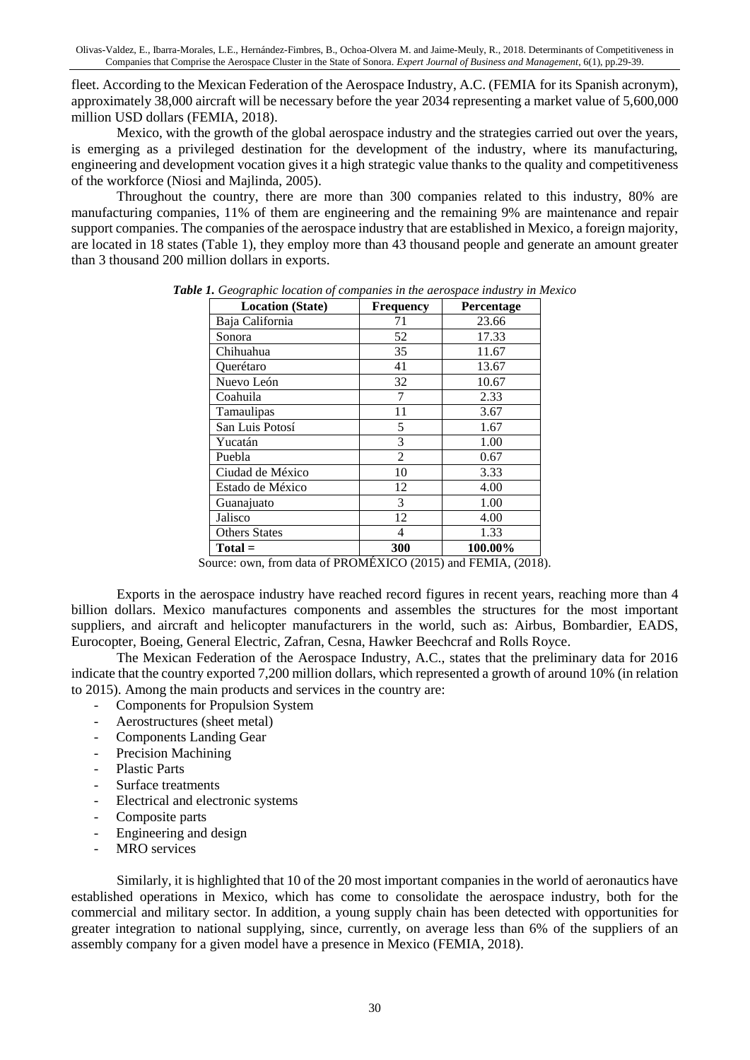fleet. According to the Mexican Federation of the Aerospace Industry, A.C. (FEMIA for its Spanish acronym), approximately 38,000 aircraft will be necessary before the year 2034 representing a market value of 5,600,000 million USD dollars (FEMIA, 2018).

Mexico, with the growth of the global aerospace industry and the strategies carried out over the years, is emerging as a privileged destination for the development of the industry, where its manufacturing, engineering and development vocation gives it a high strategic value thanks to the quality and competitiveness of the workforce (Niosi and Majlinda, 2005).

Throughout the country, there are more than 300 companies related to this industry, 80% are manufacturing companies, 11% of them are engineering and the remaining 9% are maintenance and repair support companies. The companies of the aerospace industry that are established in Mexico, a foreign majority, are located in 18 states (Table 1), they employ more than 43 thousand people and generate an amount greater than 3 thousand 200 million dollars in exports.

| <b>Location (State)</b> | Frequency | Percentage |  |
|-------------------------|-----------|------------|--|
| Baja California         | 71        | 23.66      |  |
| Sonora                  | 52        | 17.33      |  |
| Chihuahua               | 35        | 11.67      |  |
| Ouerétaro               | 41        | 13.67      |  |
| Nuevo León              | 32        | 10.67      |  |
| Coahuila                | 7         | 2.33       |  |
| Tamaulipas              | 11        | 3.67       |  |
| San Luis Potosí         | 5         | 1.67       |  |
| Yucatán                 | 3         | 1.00       |  |
| Puebla                  | 2         | 0.67       |  |
| Ciudad de México        | 10        | 3.33       |  |
| Estado de México        | 12        | 4.00       |  |
| Guanajuato              | 3         | 1.00       |  |
| Jalisco                 | 12        | 4.00       |  |
| <b>Others States</b>    | 4         | 1.33       |  |
| $Total =$               | 300       | 100.00%    |  |

*Table 1. Geographic location of companies in the aerospace industry in Mexico*

Source: own, from data of PROMÉXICO (2015) and FEMIA, (2018).

Exports in the aerospace industry have reached record figures in recent years, reaching more than 4 billion dollars. Mexico manufactures components and assembles the structures for the most important suppliers, and aircraft and helicopter manufacturers in the world, such as: Airbus, Bombardier, EADS, Eurocopter, Boeing, General Electric, Zafran, Cesna, Hawker Beechcraf and Rolls Royce.

The Mexican Federation of the Aerospace Industry, A.C., states that the preliminary data for 2016 indicate that the country exported 7,200 million dollars, which represented a growth of around 10% (in relation to 2015). Among the main products and services in the country are:

- Components for Propulsion System
- Aerostructures (sheet metal)
- Components Landing Gear
- Precision Machining
- Plastic Parts
- Surface treatments
- Electrical and electronic systems
- Composite parts
- Engineering and design
- MRO services

Similarly, it is highlighted that 10 of the 20 most important companies in the world of aeronautics have established operations in Mexico, which has come to consolidate the aerospace industry, both for the commercial and military sector. In addition, a young supply chain has been detected with opportunities for greater integration to national supplying, since, currently, on average less than 6% of the suppliers of an assembly company for a given model have a presence in Mexico (FEMIA, 2018).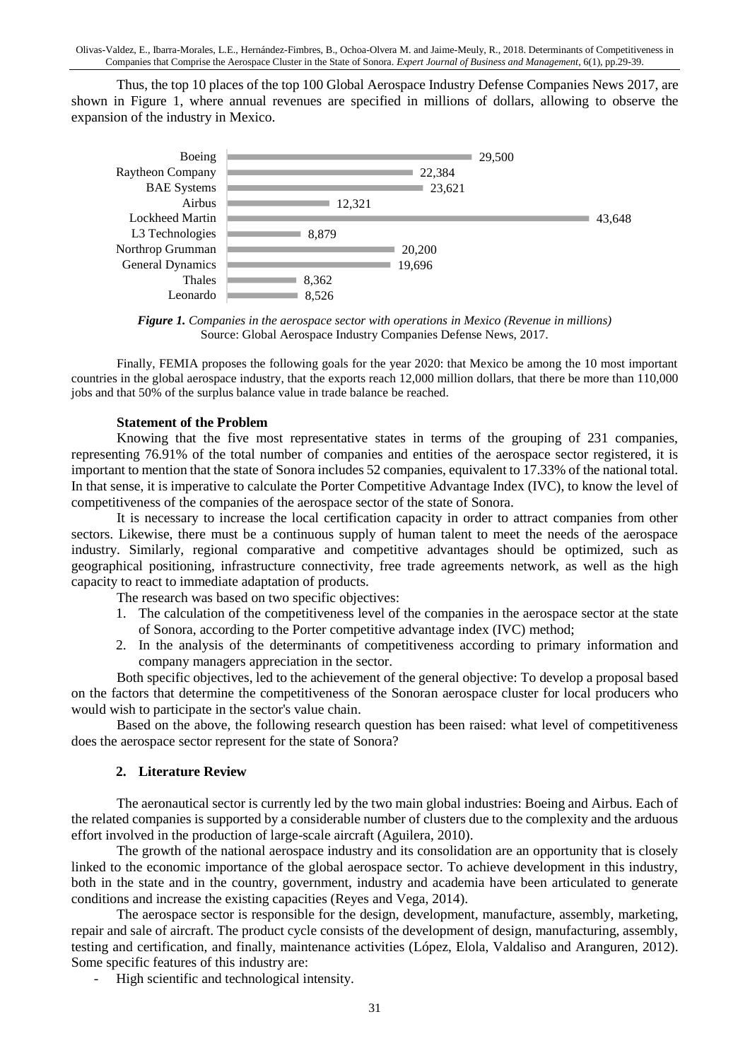Olivas-Valdez, E., Ibarra-Morales, L.E., Hernández-Fimbres, B., Ochoa-Olvera M. and Jaime-Meuly, R., 2018. Determinants of Competitiveness in Companies that Comprise the Aerospace Cluster in the State of Sonora. *Expert Journal of Business and Management*, 6(1), pp.29-39.

Thus, the top 10 places of the top 100 Global Aerospace Industry Defense Companies News 2017, are shown in Figure 1, where annual revenues are specified in millions of dollars, allowing to observe the expansion of the industry in Mexico.



*Figure 1. Companies in the aerospace sector with operations in Mexico (Revenue in millions)* Source: Global Aerospace Industry Companies Defense News, 2017.

Finally, FEMIA proposes the following goals for the year 2020: that Mexico be among the 10 most important countries in the global aerospace industry, that the exports reach 12,000 million dollars, that there be more than 110,000 jobs and that 50% of the surplus balance value in trade balance be reached.

#### **Statement of the Problem**

Knowing that the five most representative states in terms of the grouping of 231 companies, representing 76.91% of the total number of companies and entities of the aerospace sector registered, it is important to mention that the state of Sonora includes 52 companies, equivalent to 17.33% of the national total. In that sense, it is imperative to calculate the Porter Competitive Advantage Index (IVC), to know the level of competitiveness of the companies of the aerospace sector of the state of Sonora.

It is necessary to increase the local certification capacity in order to attract companies from other sectors. Likewise, there must be a continuous supply of human talent to meet the needs of the aerospace industry. Similarly, regional comparative and competitive advantages should be optimized, such as geographical positioning, infrastructure connectivity, free trade agreements network, as well as the high capacity to react to immediate adaptation of products.

The research was based on two specific objectives:

- 1. The calculation of the competitiveness level of the companies in the aerospace sector at the state of Sonora, according to the Porter competitive advantage index (IVC) method;
- 2. In the analysis of the determinants of competitiveness according to primary information and company managers appreciation in the sector.

Both specific objectives, led to the achievement of the general objective: To develop a proposal based on the factors that determine the competitiveness of the Sonoran aerospace cluster for local producers who would wish to participate in the sector's value chain.

Based on the above, the following research question has been raised: what level of competitiveness does the aerospace sector represent for the state of Sonora?

#### **2. Literature Review**

The aeronautical sector is currently led by the two main global industries: Boeing and Airbus. Each of the related companies is supported by a considerable number of clusters due to the complexity and the arduous effort involved in the production of large-scale aircraft (Aguilera, 2010).

The growth of the national aerospace industry and its consolidation are an opportunity that is closely linked to the economic importance of the global aerospace sector. To achieve development in this industry, both in the state and in the country, government, industry and academia have been articulated to generate conditions and increase the existing capacities (Reyes and Vega, 2014).

The aerospace sector is responsible for the design, development, manufacture, assembly, marketing, repair and sale of aircraft. The product cycle consists of the development of design, manufacturing, assembly, testing and certification, and finally, maintenance activities (López, Elola, Valdaliso and Aranguren, 2012). Some specific features of this industry are:

High scientific and technological intensity.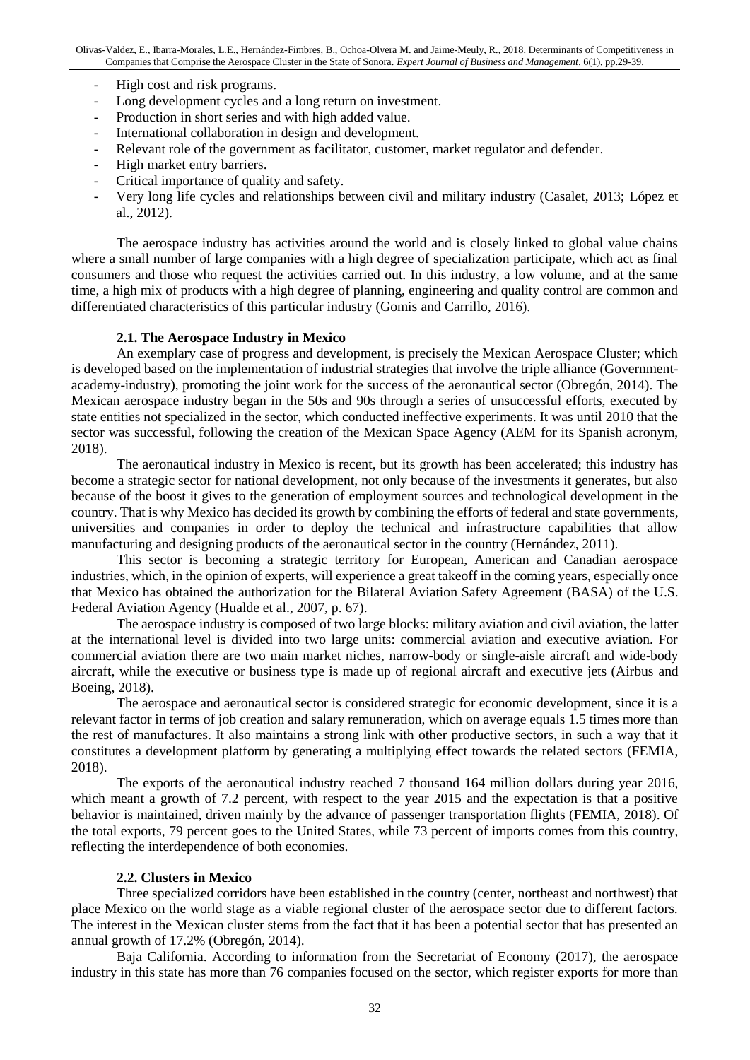- High cost and risk programs.
- Long development cycles and a long return on investment.
- Production in short series and with high added value.
- International collaboration in design and development.
- Relevant role of the government as facilitator, customer, market regulator and defender.
- High market entry barriers.
- Critical importance of quality and safety.
- Very long life cycles and relationships between civil and military industry (Casalet, 2013; López et al., 2012).

The aerospace industry has activities around the world and is closely linked to global value chains where a small number of large companies with a high degree of specialization participate, which act as final consumers and those who request the activities carried out. In this industry, a low volume, and at the same time, a high mix of products with a high degree of planning, engineering and quality control are common and differentiated characteristics of this particular industry (Gomis and Carrillo, 2016).

#### **2.1. The Aerospace Industry in Mexico**

An exemplary case of progress and development, is precisely the Mexican Aerospace Cluster; which is developed based on the implementation of industrial strategies that involve the triple alliance (Governmentacademy-industry), promoting the joint work for the success of the aeronautical sector (Obregón, 2014). The Mexican aerospace industry began in the 50s and 90s through a series of unsuccessful efforts, executed by state entities not specialized in the sector, which conducted ineffective experiments. It was until 2010 that the sector was successful, following the creation of the Mexican Space Agency (AEM for its Spanish acronym, 2018).

The aeronautical industry in Mexico is recent, but its growth has been accelerated; this industry has become a strategic sector for national development, not only because of the investments it generates, but also because of the boost it gives to the generation of employment sources and technological development in the country. That is why Mexico has decided its growth by combining the efforts of federal and state governments, universities and companies in order to deploy the technical and infrastructure capabilities that allow manufacturing and designing products of the aeronautical sector in the country (Hernández, 2011).

This sector is becoming a strategic territory for European, American and Canadian aerospace industries, which, in the opinion of experts, will experience a great takeoff in the coming years, especially once that Mexico has obtained the authorization for the Bilateral Aviation Safety Agreement (BASA) of the U.S. Federal Aviation Agency (Hualde et al., 2007, p. 67).

The aerospace industry is composed of two large blocks: military aviation and civil aviation, the latter at the international level is divided into two large units: commercial aviation and executive aviation. For commercial aviation there are two main market niches, narrow-body or single-aisle aircraft and wide-body aircraft, while the executive or business type is made up of regional aircraft and executive jets (Airbus and Boeing, 2018).

The aerospace and aeronautical sector is considered strategic for economic development, since it is a relevant factor in terms of job creation and salary remuneration, which on average equals 1.5 times more than the rest of manufactures. It also maintains a strong link with other productive sectors, in such a way that it constitutes a development platform by generating a multiplying effect towards the related sectors (FEMIA, 2018).

The exports of the aeronautical industry reached 7 thousand 164 million dollars during year 2016, which meant a growth of 7.2 percent, with respect to the year 2015 and the expectation is that a positive behavior is maintained, driven mainly by the advance of passenger transportation flights (FEMIA, 2018). Of the total exports, 79 percent goes to the United States, while 73 percent of imports comes from this country, reflecting the interdependence of both economies.

#### **2.2. Clusters in Mexico**

Three specialized corridors have been established in the country (center, northeast and northwest) that place Mexico on the world stage as a viable regional cluster of the aerospace sector due to different factors. The interest in the Mexican cluster stems from the fact that it has been a potential sector that has presented an annual growth of 17.2% (Obregón, 2014).

Baja California. According to information from the Secretariat of Economy (2017), the aerospace industry in this state has more than 76 companies focused on the sector, which register exports for more than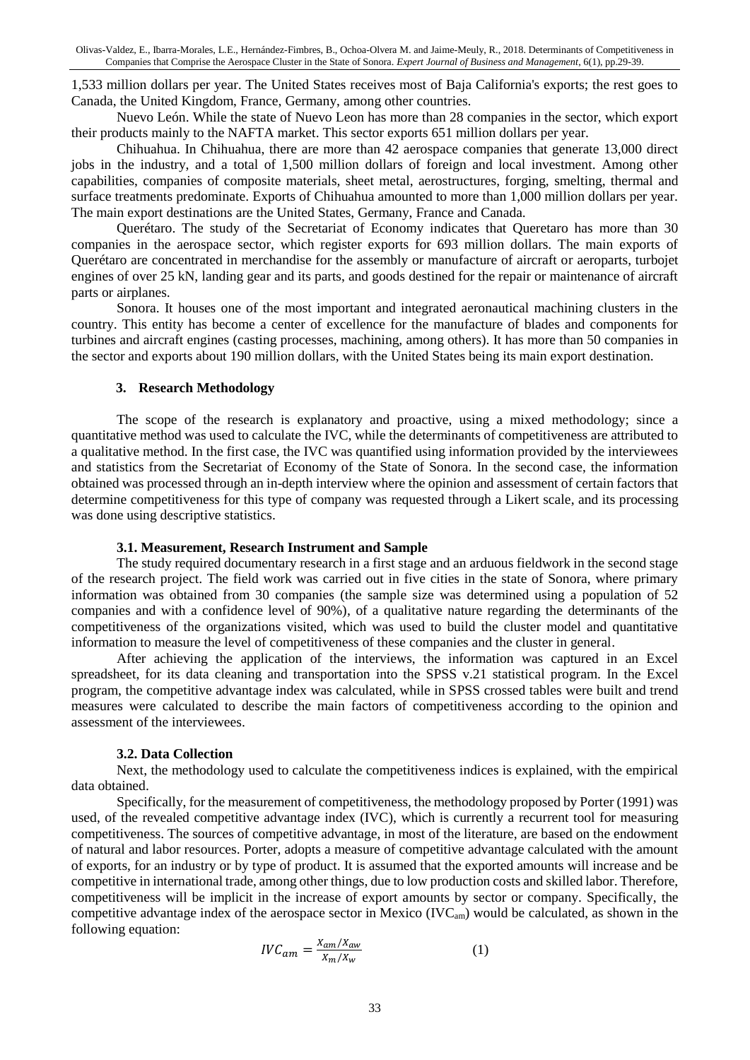1,533 million dollars per year. The United States receives most of Baja California's exports; the rest goes to Canada, the United Kingdom, France, Germany, among other countries.

Nuevo León. While the state of Nuevo Leon has more than 28 companies in the sector, which export their products mainly to the NAFTA market. This sector exports 651 million dollars per year.

Chihuahua. In Chihuahua, there are more than 42 aerospace companies that generate 13,000 direct jobs in the industry, and a total of 1,500 million dollars of foreign and local investment. Among other capabilities, companies of composite materials, sheet metal, aerostructures, forging, smelting, thermal and surface treatments predominate. Exports of Chihuahua amounted to more than 1,000 million dollars per year. The main export destinations are the United States, Germany, France and Canada.

Querétaro. The study of the Secretariat of Economy indicates that Queretaro has more than 30 companies in the aerospace sector, which register exports for 693 million dollars. The main exports of Querétaro are concentrated in merchandise for the assembly or manufacture of aircraft or aeroparts, turbojet engines of over 25 kN, landing gear and its parts, and goods destined for the repair or maintenance of aircraft parts or airplanes.

Sonora. It houses one of the most important and integrated aeronautical machining clusters in the country. This entity has become a center of excellence for the manufacture of blades and components for turbines and aircraft engines (casting processes, machining, among others). It has more than 50 companies in the sector and exports about 190 million dollars, with the United States being its main export destination.

#### **3. Research Methodology**

The scope of the research is explanatory and proactive, using a mixed methodology; since a quantitative method was used to calculate the IVC, while the determinants of competitiveness are attributed to a qualitative method. In the first case, the IVC was quantified using information provided by the interviewees and statistics from the Secretariat of Economy of the State of Sonora. In the second case, the information obtained was processed through an in-depth interview where the opinion and assessment of certain factors that determine competitiveness for this type of company was requested through a Likert scale, and its processing was done using descriptive statistics.

#### **3.1. Measurement, Research Instrument and Sample**

The study required documentary research in a first stage and an arduous fieldwork in the second stage of the research project. The field work was carried out in five cities in the state of Sonora, where primary information was obtained from 30 companies (the sample size was determined using a population of 52 companies and with a confidence level of 90%), of a qualitative nature regarding the determinants of the competitiveness of the organizations visited, which was used to build the cluster model and quantitative information to measure the level of competitiveness of these companies and the cluster in general.

After achieving the application of the interviews, the information was captured in an Excel spreadsheet, for its data cleaning and transportation into the SPSS v.21 statistical program. In the Excel program, the competitive advantage index was calculated, while in SPSS crossed tables were built and trend measures were calculated to describe the main factors of competitiveness according to the opinion and assessment of the interviewees.

#### **3.2. Data Collection**

Next, the methodology used to calculate the competitiveness indices is explained, with the empirical data obtained.

Specifically, for the measurement of competitiveness, the methodology proposed by Porter (1991) was used, of the revealed competitive advantage index (IVC), which is currently a recurrent tool for measuring competitiveness. The sources of competitive advantage, in most of the literature, are based on the endowment of natural and labor resources. Porter, adopts a measure of competitive advantage calculated with the amount of exports, for an industry or by type of product. It is assumed that the exported amounts will increase and be competitive in international trade, among other things, due to low production costs and skilled labor. Therefore, competitiveness will be implicit in the increase of export amounts by sector or company. Specifically, the competitive advantage index of the aerospace sector in Mexico (IVCam) would be calculated, as shown in the following equation:

$$
IVC_{am} = \frac{X_{am}/X_{aw}}{X_m/X_w} \tag{1}
$$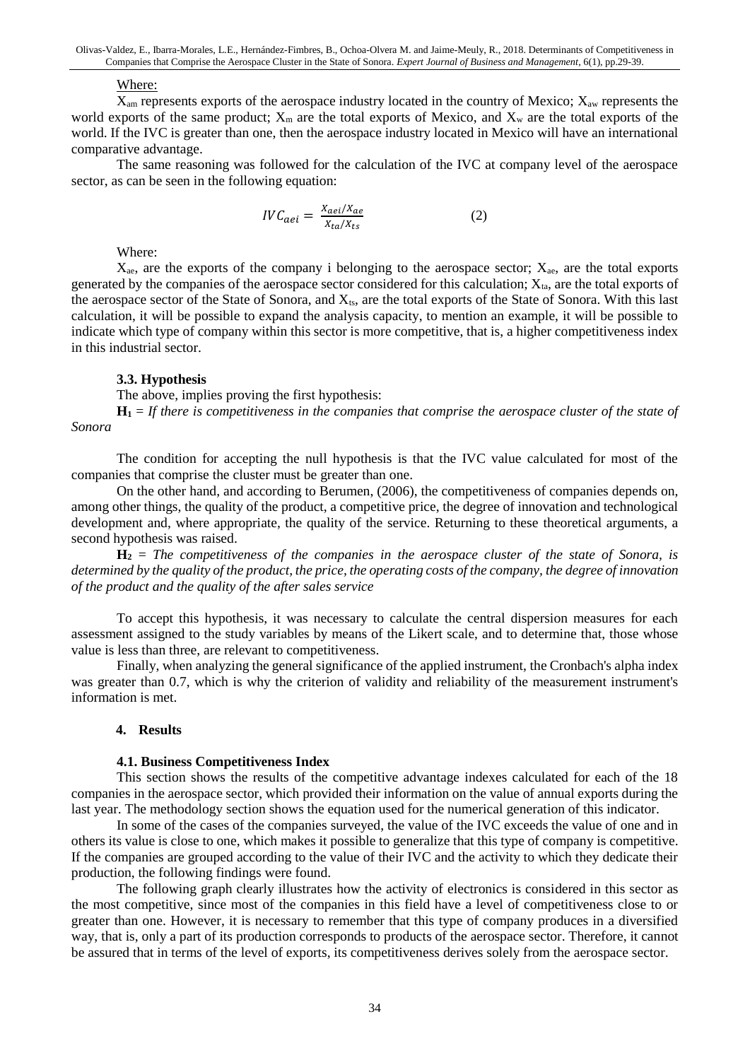#### Where:

 $X_{\text{am}}$  represents exports of the aerospace industry located in the country of Mexico;  $X_{\text{aw}}$  represents the world exports of the same product;  $X_m$  are the total exports of Mexico, and  $X_w$  are the total exports of the world. If the IVC is greater than one, then the aerospace industry located in Mexico will have an international comparative advantage.

The same reasoning was followed for the calculation of the IVC at company level of the aerospace sector, as can be seen in the following equation:

$$
IVC_{aei} = \frac{X_{aei}/X_{ae}}{X_{ta}/X_{ts}}
$$
 (2)

Where:

 $X_{\text{ae}}$ , are the exports of the company i belonging to the aerospace sector;  $X_{\text{ae}}$ , are the total exports generated by the companies of the aerospace sector considered for this calculation;  $X_{ta}$ , are the total exports of the aerospace sector of the State of Sonora, and  $X_{ts}$ , are the total exports of the State of Sonora. With this last calculation, it will be possible to expand the analysis capacity, to mention an example, it will be possible to indicate which type of company within this sector is more competitive, that is, a higher competitiveness index in this industrial sector.

#### **3.3. Hypothesis**

The above, implies proving the first hypothesis:

 $H_1 =$  *If there is competitiveness in the companies that comprise the aerospace cluster of the state of Sonora*

The condition for accepting the null hypothesis is that the IVC value calculated for most of the companies that comprise the cluster must be greater than one.

On the other hand, and according to Berumen, (2006), the competitiveness of companies depends on, among other things, the quality of the product, a competitive price, the degree of innovation and technological development and, where appropriate, the quality of the service. Returning to these theoretical arguments, a second hypothesis was raised.

**H<sup>2</sup>** = *The competitiveness of the companies in the aerospace cluster of the state of Sonora, is determined by the quality of the product, the price, the operating costs of the company, the degree of innovation of the product and the quality of the after sales service*

To accept this hypothesis, it was necessary to calculate the central dispersion measures for each assessment assigned to the study variables by means of the Likert scale, and to determine that, those whose value is less than three, are relevant to competitiveness.

Finally, when analyzing the general significance of the applied instrument, the Cronbach's alpha index was greater than 0.7, which is why the criterion of validity and reliability of the measurement instrument's information is met.

#### **4. Results**

#### **4.1. Business Competitiveness Index**

This section shows the results of the competitive advantage indexes calculated for each of the 18 companies in the aerospace sector, which provided their information on the value of annual exports during the last year. The methodology section shows the equation used for the numerical generation of this indicator.

In some of the cases of the companies surveyed, the value of the IVC exceeds the value of one and in others its value is close to one, which makes it possible to generalize that this type of company is competitive. If the companies are grouped according to the value of their IVC and the activity to which they dedicate their production, the following findings were found.

The following graph clearly illustrates how the activity of electronics is considered in this sector as the most competitive, since most of the companies in this field have a level of competitiveness close to or greater than one. However, it is necessary to remember that this type of company produces in a diversified way, that is, only a part of its production corresponds to products of the aerospace sector. Therefore, it cannot be assured that in terms of the level of exports, its competitiveness derives solely from the aerospace sector.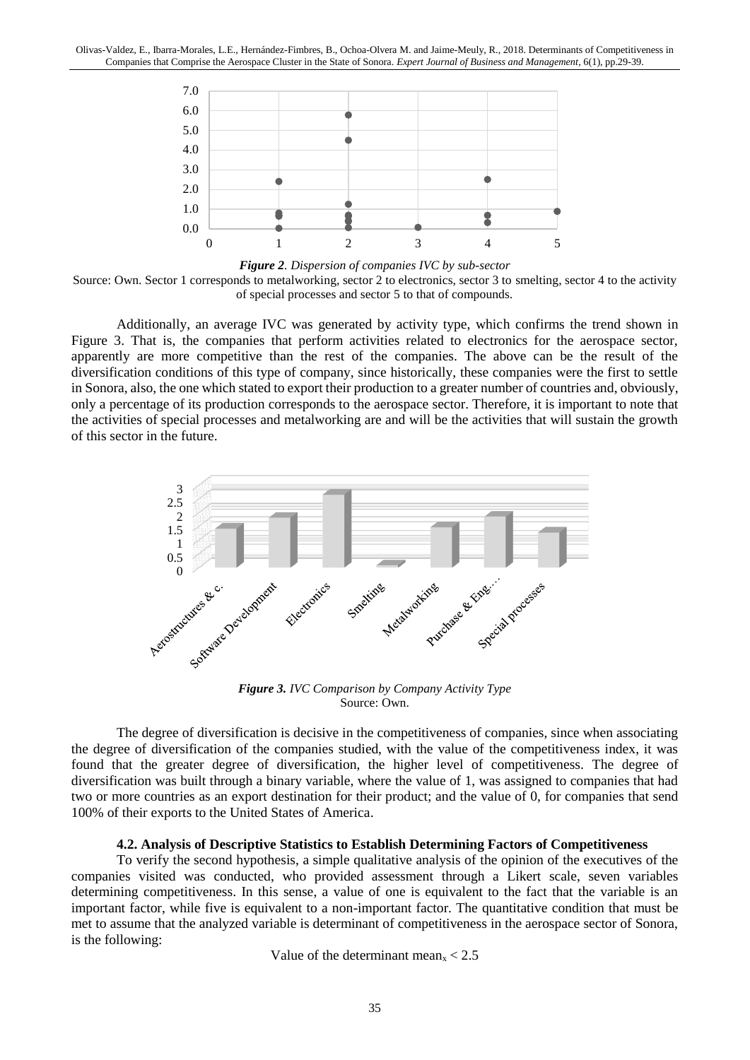

*Figure 2. Dispersion of companies IVC by sub-sector* Source: Own. Sector 1 corresponds to metalworking, sector 2 to electronics, sector 3 to smelting, sector 4 to the activity of special processes and sector 5 to that of compounds.

Additionally, an average IVC was generated by activity type, which confirms the trend shown in Figure 3. That is, the companies that perform activities related to electronics for the aerospace sector, apparently are more competitive than the rest of the companies. The above can be the result of the diversification conditions of this type of company, since historically, these companies were the first to settle in Sonora, also, the one which stated to export their production to a greater number of countries and, obviously, only a percentage of its production corresponds to the aerospace sector. Therefore, it is important to note that the activities of special processes and metalworking are and will be the activities that will sustain the growth of this sector in the future.



*Figure 3. IVC Comparison by Company Activity Type* Source: Own.

The degree of diversification is decisive in the competitiveness of companies, since when associating the degree of diversification of the companies studied, with the value of the competitiveness index, it was found that the greater degree of diversification, the higher level of competitiveness. The degree of diversification was built through a binary variable, where the value of 1, was assigned to companies that had two or more countries as an export destination for their product; and the value of 0, for companies that send 100% of their exports to the United States of America.

#### **4.2. Analysis of Descriptive Statistics to Establish Determining Factors of Competitiveness**

To verify the second hypothesis, a simple qualitative analysis of the opinion of the executives of the companies visited was conducted, who provided assessment through a Likert scale, seven variables determining competitiveness. In this sense, a value of one is equivalent to the fact that the variable is an important factor, while five is equivalent to a non-important factor. The quantitative condition that must be met to assume that the analyzed variable is determinant of competitiveness in the aerospace sector of Sonora, is the following:

Value of the determinant mean $x < 2.5$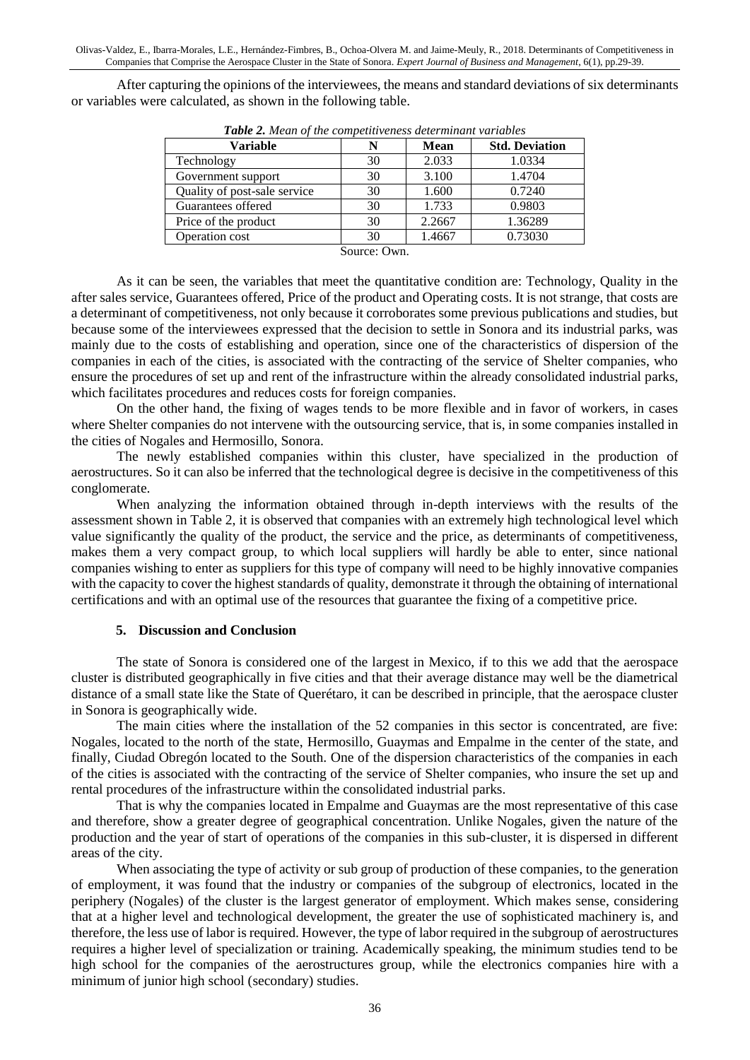After capturing the opinions of the interviewees, the means and standard deviations of six determinants or variables were calculated, as shown in the following table.

| Variable                     |    | <b>Mean</b> | <b>Std. Deviation</b> |
|------------------------------|----|-------------|-----------------------|
| Technology                   | 30 | 2.033       | 1.0334                |
| Government support           | 30 | 3.100       | 1.4704                |
| Quality of post-sale service | 30 | 1.600       | 0.7240                |
| Guarantees offered           | 30 | 1.733       | 0.9803                |
| Price of the product         | 30 | 2.2667      | 1.36289               |
| Operation cost               | 30 | 1.4667      | 0.73030               |
| $\sim$                       |    |             |                       |

*Table 2. Mean of the competitiveness determinant variables*

Source: Own.

As it can be seen, the variables that meet the quantitative condition are: Technology, Quality in the after sales service, Guarantees offered, Price of the product and Operating costs. It is not strange, that costs are a determinant of competitiveness, not only because it corroborates some previous publications and studies, but because some of the interviewees expressed that the decision to settle in Sonora and its industrial parks, was mainly due to the costs of establishing and operation, since one of the characteristics of dispersion of the companies in each of the cities, is associated with the contracting of the service of Shelter companies, who ensure the procedures of set up and rent of the infrastructure within the already consolidated industrial parks, which facilitates procedures and reduces costs for foreign companies.

On the other hand, the fixing of wages tends to be more flexible and in favor of workers, in cases where Shelter companies do not intervene with the outsourcing service, that is, in some companies installed in the cities of Nogales and Hermosillo, Sonora.

The newly established companies within this cluster, have specialized in the production of aerostructures. So it can also be inferred that the technological degree is decisive in the competitiveness of this conglomerate.

When analyzing the information obtained through in-depth interviews with the results of the assessment shown in Table 2, it is observed that companies with an extremely high technological level which value significantly the quality of the product, the service and the price, as determinants of competitiveness, makes them a very compact group, to which local suppliers will hardly be able to enter, since national companies wishing to enter as suppliers for this type of company will need to be highly innovative companies with the capacity to cover the highest standards of quality, demonstrate it through the obtaining of international certifications and with an optimal use of the resources that guarantee the fixing of a competitive price.

#### **5. Discussion and Conclusion**

The state of Sonora is considered one of the largest in Mexico, if to this we add that the aerospace cluster is distributed geographically in five cities and that their average distance may well be the diametrical distance of a small state like the State of Querétaro, it can be described in principle, that the aerospace cluster in Sonora is geographically wide.

The main cities where the installation of the 52 companies in this sector is concentrated, are five: Nogales, located to the north of the state, Hermosillo, Guaymas and Empalme in the center of the state, and finally, Ciudad Obregón located to the South. One of the dispersion characteristics of the companies in each of the cities is associated with the contracting of the service of Shelter companies, who insure the set up and rental procedures of the infrastructure within the consolidated industrial parks.

That is why the companies located in Empalme and Guaymas are the most representative of this case and therefore, show a greater degree of geographical concentration. Unlike Nogales, given the nature of the production and the year of start of operations of the companies in this sub-cluster, it is dispersed in different areas of the city.

When associating the type of activity or sub group of production of these companies, to the generation of employment, it was found that the industry or companies of the subgroup of electronics, located in the periphery (Nogales) of the cluster is the largest generator of employment. Which makes sense, considering that at a higher level and technological development, the greater the use of sophisticated machinery is, and therefore, the less use of labor is required. However, the type of labor required in the subgroup of aerostructures requires a higher level of specialization or training. Academically speaking, the minimum studies tend to be high school for the companies of the aerostructures group, while the electronics companies hire with a minimum of junior high school (secondary) studies.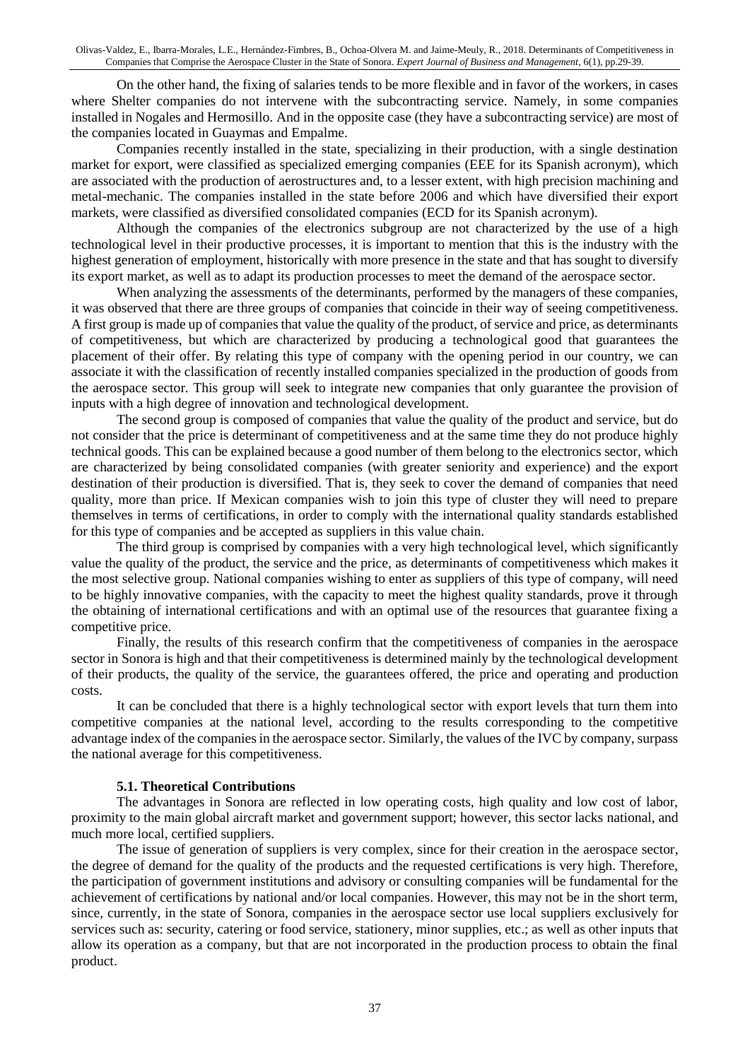On the other hand, the fixing of salaries tends to be more flexible and in favor of the workers, in cases where Shelter companies do not intervene with the subcontracting service. Namely, in some companies installed in Nogales and Hermosillo. And in the opposite case (they have a subcontracting service) are most of the companies located in Guaymas and Empalme.

Companies recently installed in the state, specializing in their production, with a single destination market for export, were classified as specialized emerging companies (EEE for its Spanish acronym), which are associated with the production of aerostructures and, to a lesser extent, with high precision machining and metal-mechanic. The companies installed in the state before 2006 and which have diversified their export markets, were classified as diversified consolidated companies (ECD for its Spanish acronym).

Although the companies of the electronics subgroup are not characterized by the use of a high technological level in their productive processes, it is important to mention that this is the industry with the highest generation of employment, historically with more presence in the state and that has sought to diversify its export market, as well as to adapt its production processes to meet the demand of the aerospace sector.

When analyzing the assessments of the determinants, performed by the managers of these companies, it was observed that there are three groups of companies that coincide in their way of seeing competitiveness. A first group is made up of companies that value the quality of the product, of service and price, as determinants of competitiveness, but which are characterized by producing a technological good that guarantees the placement of their offer. By relating this type of company with the opening period in our country, we can associate it with the classification of recently installed companies specialized in the production of goods from the aerospace sector. This group will seek to integrate new companies that only guarantee the provision of inputs with a high degree of innovation and technological development.

The second group is composed of companies that value the quality of the product and service, but do not consider that the price is determinant of competitiveness and at the same time they do not produce highly technical goods. This can be explained because a good number of them belong to the electronics sector, which are characterized by being consolidated companies (with greater seniority and experience) and the export destination of their production is diversified. That is, they seek to cover the demand of companies that need quality, more than price. If Mexican companies wish to join this type of cluster they will need to prepare themselves in terms of certifications, in order to comply with the international quality standards established for this type of companies and be accepted as suppliers in this value chain.

The third group is comprised by companies with a very high technological level, which significantly value the quality of the product, the service and the price, as determinants of competitiveness which makes it the most selective group. National companies wishing to enter as suppliers of this type of company, will need to be highly innovative companies, with the capacity to meet the highest quality standards, prove it through the obtaining of international certifications and with an optimal use of the resources that guarantee fixing a competitive price.

Finally, the results of this research confirm that the competitiveness of companies in the aerospace sector in Sonora is high and that their competitiveness is determined mainly by the technological development of their products, the quality of the service, the guarantees offered, the price and operating and production costs.

It can be concluded that there is a highly technological sector with export levels that turn them into competitive companies at the national level, according to the results corresponding to the competitive advantage index of the companies in the aerospace sector. Similarly, the values of the IVC by company, surpass the national average for this competitiveness.

#### **5.1. Theoretical Contributions**

The advantages in Sonora are reflected in low operating costs, high quality and low cost of labor, proximity to the main global aircraft market and government support; however, this sector lacks national, and much more local, certified suppliers.

The issue of generation of suppliers is very complex, since for their creation in the aerospace sector, the degree of demand for the quality of the products and the requested certifications is very high. Therefore, the participation of government institutions and advisory or consulting companies will be fundamental for the achievement of certifications by national and/or local companies. However, this may not be in the short term, since, currently, in the state of Sonora, companies in the aerospace sector use local suppliers exclusively for services such as: security, catering or food service, stationery, minor supplies, etc.; as well as other inputs that allow its operation as a company, but that are not incorporated in the production process to obtain the final product.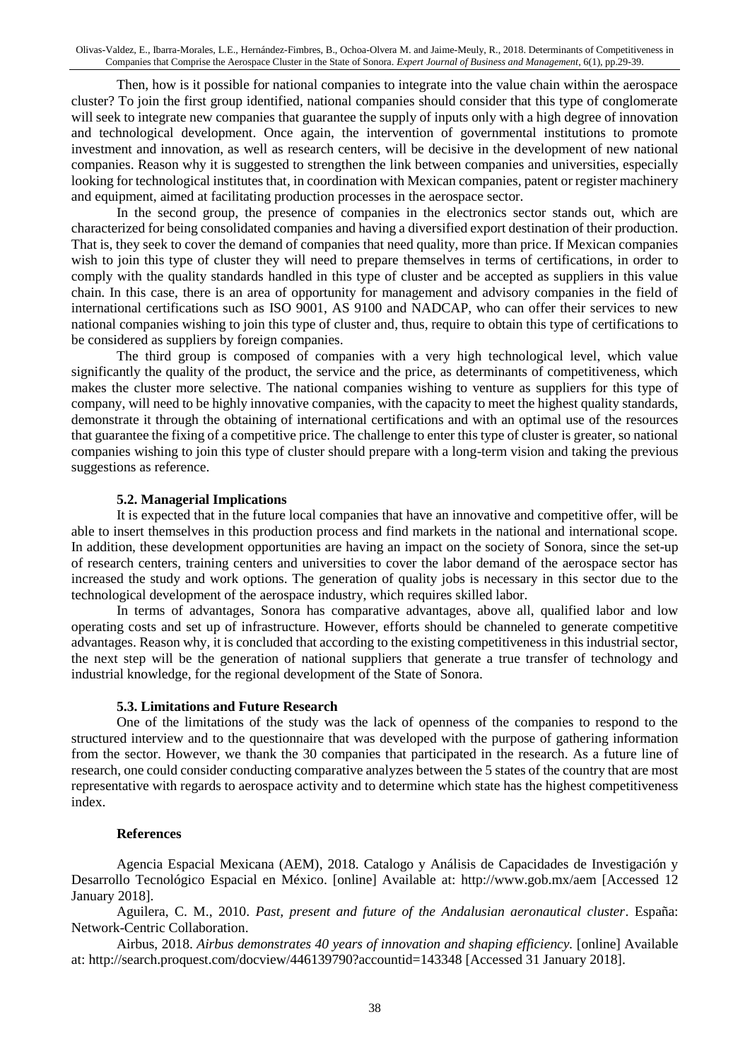Then, how is it possible for national companies to integrate into the value chain within the aerospace cluster? To join the first group identified, national companies should consider that this type of conglomerate will seek to integrate new companies that guarantee the supply of inputs only with a high degree of innovation and technological development. Once again, the intervention of governmental institutions to promote investment and innovation, as well as research centers, will be decisive in the development of new national companies. Reason why it is suggested to strengthen the link between companies and universities, especially looking for technological institutes that, in coordination with Mexican companies, patent or register machinery and equipment, aimed at facilitating production processes in the aerospace sector.

In the second group, the presence of companies in the electronics sector stands out, which are characterized for being consolidated companies and having a diversified export destination of their production. That is, they seek to cover the demand of companies that need quality, more than price. If Mexican companies wish to join this type of cluster they will need to prepare themselves in terms of certifications, in order to comply with the quality standards handled in this type of cluster and be accepted as suppliers in this value chain. In this case, there is an area of opportunity for management and advisory companies in the field of international certifications such as ISO 9001, AS 9100 and NADCAP, who can offer their services to new national companies wishing to join this type of cluster and, thus, require to obtain this type of certifications to be considered as suppliers by foreign companies.

The third group is composed of companies with a very high technological level, which value significantly the quality of the product, the service and the price, as determinants of competitiveness, which makes the cluster more selective. The national companies wishing to venture as suppliers for this type of company, will need to be highly innovative companies, with the capacity to meet the highest quality standards, demonstrate it through the obtaining of international certifications and with an optimal use of the resources that guarantee the fixing of a competitive price. The challenge to enter this type of cluster is greater, so national companies wishing to join this type of cluster should prepare with a long-term vision and taking the previous suggestions as reference.

#### **5.2. Managerial Implications**

It is expected that in the future local companies that have an innovative and competitive offer, will be able to insert themselves in this production process and find markets in the national and international scope. In addition, these development opportunities are having an impact on the society of Sonora, since the set-up of research centers, training centers and universities to cover the labor demand of the aerospace sector has increased the study and work options. The generation of quality jobs is necessary in this sector due to the technological development of the aerospace industry, which requires skilled labor.

In terms of advantages, Sonora has comparative advantages, above all, qualified labor and low operating costs and set up of infrastructure. However, efforts should be channeled to generate competitive advantages. Reason why, it is concluded that according to the existing competitiveness in this industrial sector, the next step will be the generation of national suppliers that generate a true transfer of technology and industrial knowledge, for the regional development of the State of Sonora.

#### **5.3. Limitations and Future Research**

One of the limitations of the study was the lack of openness of the companies to respond to the structured interview and to the questionnaire that was developed with the purpose of gathering information from the sector. However, we thank the 30 companies that participated in the research. As a future line of research, one could consider conducting comparative analyzes between the 5 states of the country that are most representative with regards to aerospace activity and to determine which state has the highest competitiveness index.

#### **References**

Agencia Espacial Mexicana (AEM), 2018. Catalogo y Análisis de Capacidades de Investigación y Desarrollo Tecnológico Espacial en México. [online] Available at: http://www.gob.mx/aem [Accessed 12 January 2018].

Aguilera, C. M., 2010. *Past, present and future of the Andalusian aeronautical cluster*. España: Network-Centric Collaboration.

Airbus, 2018. *Airbus demonstrates 40 years of innovation and shaping efficiency.* [online] Available at: http://search.proquest.com/docview/446139790?accountid=143348 [Accessed 31 January 2018].